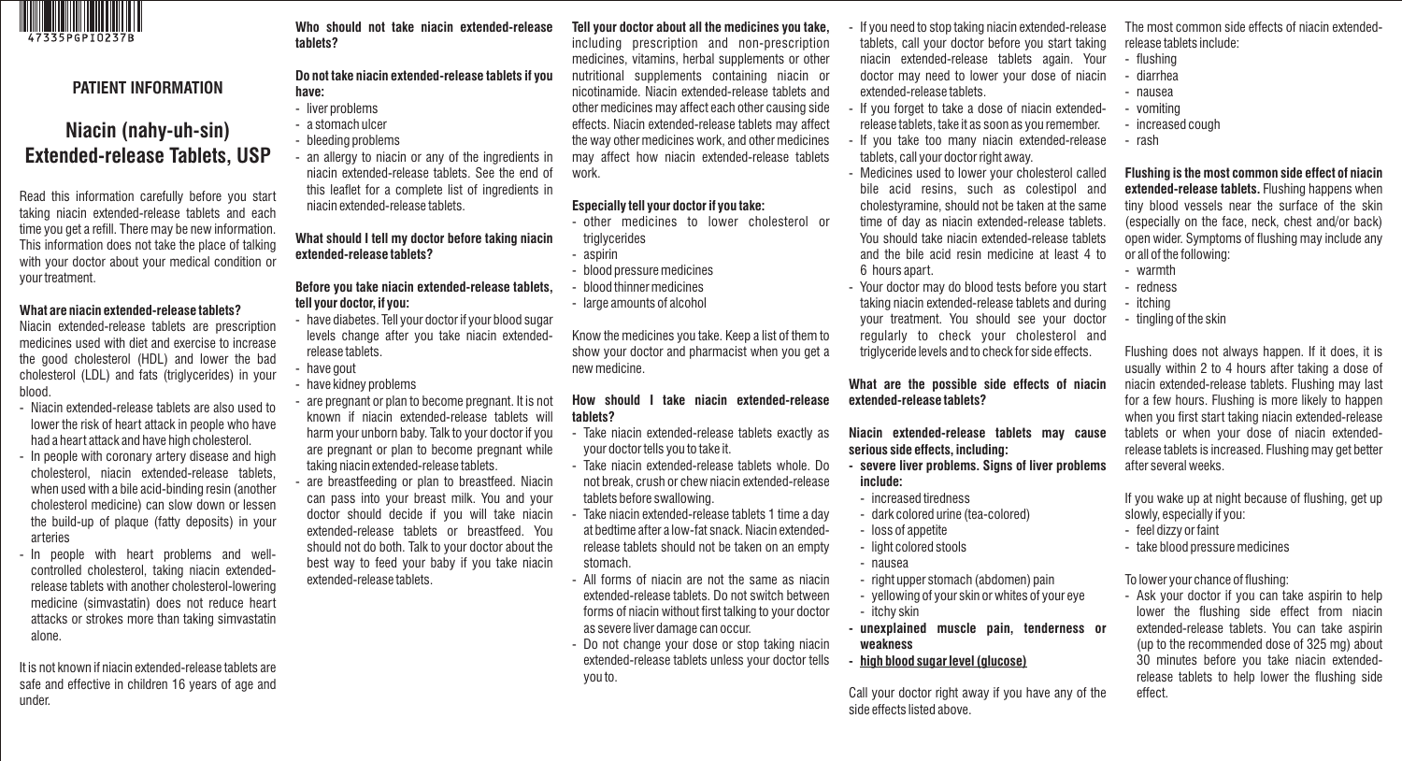

# **PATIENT INFORMATION**

# **Niacin (nahy-uh-sin) Extended-release Tablets, USP**

Read this information carefully before you start taking niacin extended-release tablets and each time you get a refill. There may be new information. This information does not take the place of talking with your doctor about your medical condition or your treatment.

#### **What are niacin extended-release tablets?**

Niacin extended-release tablets are prescription medicines used with diet and exercise to increase the good cholesterol (HDL) and lower the bad cholesterol (LDL) and fats (triglycerides) in your blood.

- Niacin extended-release tablets are also used to lower the risk of heart attack in people who have had a heart attack and have high cholesterol.
- In people with coronary artery disease and high cholesterol, niacin extended-release tablets, when used with a bile acid-binding resin (another cholesterol medicine) can slow down or lessen the build-up of plaque (fatty deposits) in your arteries
- In people with heart problems and wellcontrolled cholesterol, taking niacin extendedrelease tablets with another cholesterol-lowering medicine (simvastatin) does not reduce heart attacks or strokes more than taking simvastatin alone.

It is not known if niacin extended-release tablets are safe and effective in children 16 years of age and under.

#### **Who should not take niacin extended-release tablets?**

#### **Do not take niacin extended-release tablets if you have:**

- liver problems
- a stomach ulcer
- bleeding problems

- an allergy to niacin or any of the ingredients in niacin extended-release tablets. See the end of this leaflet for a complete list of ingredients in niacin extended-release tablets.

**What should I tell my doctor before taking niacin extended-release tablets?** 

## **Before you take niacin extended-release tablets, tell your doctor, if you:**

- have diabetes. Tell your doctor if your blood sugar levels change after you take niacin extendedrelease tablets.
- have gout
- have kidney problems
- are pregnant or plan to become pregnant. It is not known if niacin extended-release tablets will harm your unborn baby. Talk to your doctor if you are pregnant or plan to become pregnant while taking niacin extended-release tablets.
- are breastfeeding or plan to breastfeed. Niacin can pass into your breast milk. You and your doctor should decide if you will take niacin extended-release tablets or breastfeed. You should not do both. Talk to your doctor about the best way to feed your baby if you take niacin extended-release tablets.

# **Tell your doctor about all the medicines you take,**

including prescription and non-prescription medicines, vitamins, herbal supplements or other nutritional supplements containing niacin or nicotinamide. Niacin extended-release tablets and other medicines may affect each other causing side effects. Niacin extended-release tablets may affect the way other medicines work, and other medicines may affect how niacin extended-release tablets work.

# **Especially tell your doctor if you take:**

- other medicines to lower cholesterol or triglycerides
- aspirin
- blood pressure medicines
- blood thinner medicines
- large amounts of alcohol

Know the medicines you take. Keep a list of them to show your doctor and pharmacist when you get a new medicine.

#### **How should I take niacin extended-release tablets?**

- Take niacin extended-release tablets exactly as your doctor tells you to take it.
- Take niacin extended-release tablets whole. Do not break, crush or chew niacin extended-release tablets before swallowing.
- Take niacin extended-release tablets 1 time a day at bedtime after a low-fat snack. Niacin extendedrelease tablets should not be taken on an empty stomach.
- All forms of niacin are not the same as niacin extended-release tablets. Do not switch between forms of niacin without first talking to your doctor as severe liver damage can occur.
- Do not change your dose or stop taking niacin extended-release tablets unless your doctor tells you to.
- If you need to stop taking niacin extended-release tablets, call your doctor before you start taking niacin extended-release tablets again. Your doctor may need to lower your dose of niacin extended-release tablets.
- If you forget to take a dose of niacin extendedrelease tablets, take it as soon as you remember.
- If you take too many niacin extended-release tablets, call your doctor right away.
- Medicines used to lower your cholesterol called bile acid resins, such as colestipol and cholestyramine, should not be taken at the same time of day as niacin extended-release tablets. You should take niacin extended-release tablets and the bile acid resin medicine at least 4 to 6 hours apart.
- Your doctor may do blood tests before you start taking niacin extended-release tablets and during your treatment. You should see your doctor regularly to check your cholesterol and triglyceride levels and to check for side effects.

**What are the possible side effects of niacin extended-release tablets?** 

# **Niacin extended-release tablets may cause serious side effects, including:**

- **severe liver problems. Signs of liver problems include:**
- 
- loss of appetite
- -
- itchy skin
- 

#### **- high blood sugar level (glucose)**

Call your doctor right away if you have any of the side effects listed above.

- The most common side effects of niacin extendedrelease tablets include:
- flushing
- diarrhea - nausea
- vomiting
- increased cough
- rash

**Flushing is the most common side effect of niacin extended-release tablets.** Flushing happens when tiny blood vessels near the surface of the skin (especially on the face, neck, chest and/or back) open wider. Symptoms of flushing may include any or all of the following:

- warmth
- redness
- itching
- tingling of the skin

Flushing does not always happen. If it does, it is usually within 2 to 4 hours after taking a dose of niacin extended-release tablets. Flushing may last for a few hours. Flushing is more likely to happen when you first start taking niacin extended-release tablets or when your dose of niacin extendedrelease tablets is increased. Flushing may get better after several weeks.

If you wake up at night because of flushing, get up slowly, especially if you:

- feel dizzy or faint
- take blood pressure medicines

#### To lower your chance of flushing:

- Ask your doctor if you can take aspirin to help lower the flushing side effect from niacin extended-release tablets. You can take aspirin (up to the recommended dose of 325 mg) about 30 minutes before you take niacin extendedrelease tablets to help lower the flushing side effect.

- increased tiredness

- dark colored urine (tea-colored)
- 
- light colored stools
	- nausea
	- right upper stomach (abdomen) pain
	- yellowing of your skin or whites of your eye
- **unexplained muscle pain, tenderness or weakness**